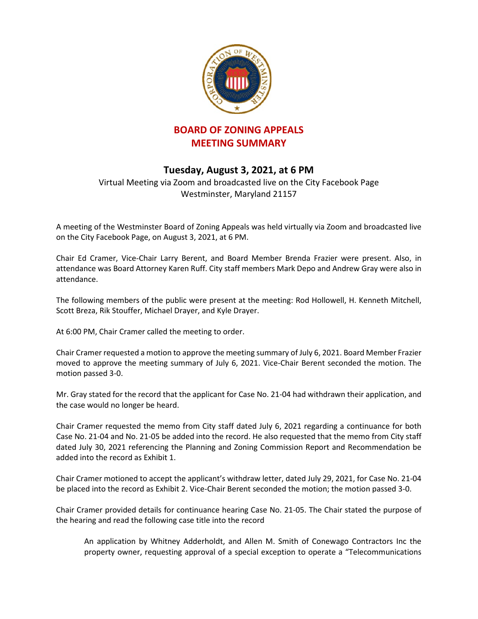

## **BOARD OF ZONING APPEALS MEETING SUMMARY**

## **Tuesday, August 3, 2021, at 6 PM**

Virtual Meeting via Zoom and broadcasted live on the City Facebook Page Westminster, Maryland 21157

A meeting of the Westminster Board of Zoning Appeals was held virtually via Zoom and broadcasted live on the City Facebook Page, on August 3, 2021, at 6 PM.

Chair Ed Cramer, Vice-Chair Larry Berent, and Board Member Brenda Frazier were present. Also, in attendance was Board Attorney Karen Ruff. City staff members Mark Depo and Andrew Gray were also in attendance.

The following members of the public were present at the meeting: Rod Hollowell, H. Kenneth Mitchell, Scott Breza, Rik Stouffer, Michael Drayer, and Kyle Drayer.

At 6:00 PM, Chair Cramer called the meeting to order.

Chair Cramer requested a motion to approve the meeting summary of July 6, 2021. Board Member Frazier moved to approve the meeting summary of July 6, 2021. Vice-Chair Berent seconded the motion. The motion passed 3-0.

Mr. Gray stated for the record that the applicant for Case No. 21-04 had withdrawn their application, and the case would no longer be heard.

Chair Cramer requested the memo from City staff dated July 6, 2021 regarding a continuance for both Case No. 21-04 and No. 21-05 be added into the record. He also requested that the memo from City staff dated July 30, 2021 referencing the Planning and Zoning Commission Report and Recommendation be added into the record as Exhibit 1.

Chair Cramer motioned to accept the applicant's withdraw letter, dated July 29, 2021, for Case No. 21-04 be placed into the record as Exhibit 2. Vice-Chair Berent seconded the motion; the motion passed 3-0.

Chair Cramer provided details for continuance hearing Case No. 21-05. The Chair stated the purpose of the hearing and read the following case title into the record

An application by Whitney Adderholdt, and Allen M. Smith of Conewago Contractors Inc the property owner, requesting approval of a special exception to operate a "Telecommunications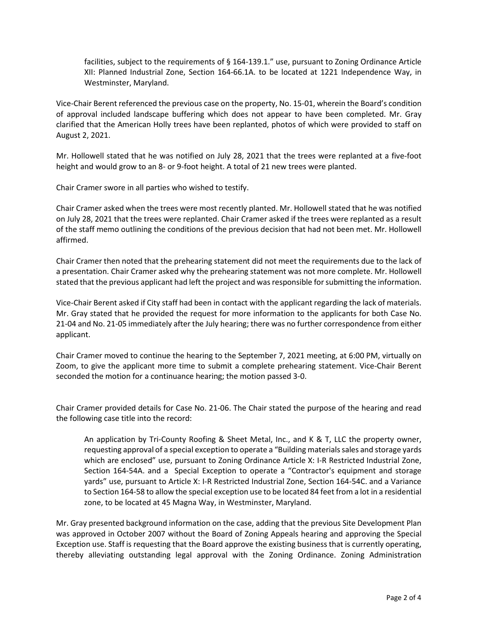facilities, subject to the requirements of § 164-139.1." use, pursuant to Zoning Ordinance Article XII: Planned Industrial Zone, Section 164-66.1A. to be located at 1221 Independence Way, in Westminster, Maryland.

Vice-Chair Berent referenced the previous case on the property, No. 15-01, wherein the Board's condition of approval included landscape buffering which does not appear to have been completed. Mr. Gray clarified that the American Holly trees have been replanted, photos of which were provided to staff on August 2, 2021.

Mr. Hollowell stated that he was notified on July 28, 2021 that the trees were replanted at a five-foot height and would grow to an 8- or 9-foot height. A total of 21 new trees were planted.

Chair Cramer swore in all parties who wished to testify.

Chair Cramer asked when the trees were most recently planted. Mr. Hollowell stated that he was notified on July 28, 2021 that the trees were replanted. Chair Cramer asked if the trees were replanted as a result of the staff memo outlining the conditions of the previous decision that had not been met. Mr. Hollowell affirmed.

Chair Cramer then noted that the prehearing statement did not meet the requirements due to the lack of a presentation. Chair Cramer asked why the prehearing statement was not more complete. Mr. Hollowell stated that the previous applicant had left the project and was responsible for submitting the information.

Vice-Chair Berent asked if City staff had been in contact with the applicant regarding the lack of materials. Mr. Gray stated that he provided the request for more information to the applicants for both Case No. 21-04 and No. 21-05 immediately after the July hearing; there was no further correspondence from either applicant.

Chair Cramer moved to continue the hearing to the September 7, 2021 meeting, at 6:00 PM, virtually on Zoom, to give the applicant more time to submit a complete prehearing statement. Vice-Chair Berent seconded the motion for a continuance hearing; the motion passed 3-0.

Chair Cramer provided details for Case No. 21-06. The Chair stated the purpose of the hearing and read the following case title into the record:

An application by Tri-County Roofing & Sheet Metal, Inc., and K & T, LLC the property owner, requesting approval of a special exception to operate a "Building materials sales and storage yards which are enclosed" use, pursuant to Zoning Ordinance Article X: I-R Restricted Industrial Zone, Section 164-54A. and a Special Exception to operate a "Contractor's equipment and storage yards" use, pursuant to Article X: I-R Restricted Industrial Zone, Section 164-54C. and a Variance to Section 164-58 to allow the special exception use to be located 84 feet from a lot in a residential zone, to be located at 45 Magna Way, in Westminster, Maryland.

Mr. Gray presented background information on the case, adding that the previous Site Development Plan was approved in October 2007 without the Board of Zoning Appeals hearing and approving the Special Exception use. Staff is requesting that the Board approve the existing business that is currently operating, thereby alleviating outstanding legal approval with the Zoning Ordinance. Zoning Administration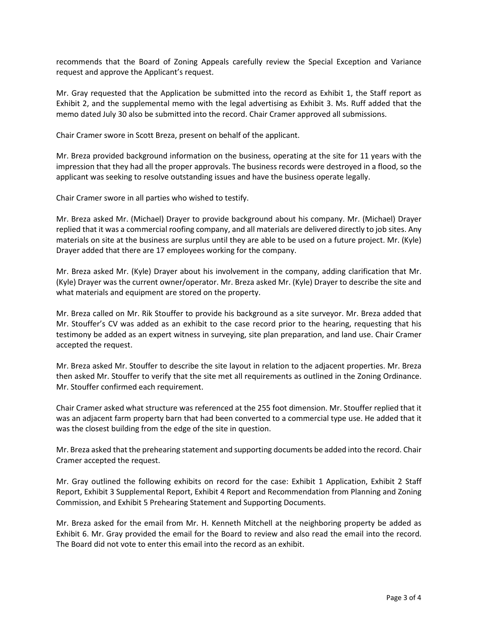recommends that the Board of Zoning Appeals carefully review the Special Exception and Variance request and approve the Applicant's request.

Mr. Gray requested that the Application be submitted into the record as Exhibit 1, the Staff report as Exhibit 2, and the supplemental memo with the legal advertising as Exhibit 3. Ms. Ruff added that the memo dated July 30 also be submitted into the record. Chair Cramer approved all submissions.

Chair Cramer swore in Scott Breza, present on behalf of the applicant.

Mr. Breza provided background information on the business, operating at the site for 11 years with the impression that they had all the proper approvals. The business records were destroyed in a flood, so the applicant was seeking to resolve outstanding issues and have the business operate legally.

Chair Cramer swore in all parties who wished to testify.

Mr. Breza asked Mr. (Michael) Drayer to provide background about his company. Mr. (Michael) Drayer replied that it was a commercial roofing company, and all materials are delivered directly to job sites. Any materials on site at the business are surplus until they are able to be used on a future project. Mr. (Kyle) Drayer added that there are 17 employees working for the company.

Mr. Breza asked Mr. (Kyle) Drayer about his involvement in the company, adding clarification that Mr. (Kyle) Drayer was the current owner/operator. Mr. Breza asked Mr. (Kyle) Drayer to describe the site and what materials and equipment are stored on the property.

Mr. Breza called on Mr. Rik Stouffer to provide his background as a site surveyor. Mr. Breza added that Mr. Stouffer's CV was added as an exhibit to the case record prior to the hearing, requesting that his testimony be added as an expert witness in surveying, site plan preparation, and land use. Chair Cramer accepted the request.

Mr. Breza asked Mr. Stouffer to describe the site layout in relation to the adjacent properties. Mr. Breza then asked Mr. Stouffer to verify that the site met all requirements as outlined in the Zoning Ordinance. Mr. Stouffer confirmed each requirement.

Chair Cramer asked what structure was referenced at the 255 foot dimension. Mr. Stouffer replied that it was an adjacent farm property barn that had been converted to a commercial type use. He added that it was the closest building from the edge of the site in question.

Mr. Breza asked that the prehearing statement and supporting documents be added into the record. Chair Cramer accepted the request.

Mr. Gray outlined the following exhibits on record for the case: Exhibit 1 Application, Exhibit 2 Staff Report, Exhibit 3 Supplemental Report, Exhibit 4 Report and Recommendation from Planning and Zoning Commission, and Exhibit 5 Prehearing Statement and Supporting Documents.

Mr. Breza asked for the email from Mr. H. Kenneth Mitchell at the neighboring property be added as Exhibit 6. Mr. Gray provided the email for the Board to review and also read the email into the record. The Board did not vote to enter this email into the record as an exhibit.